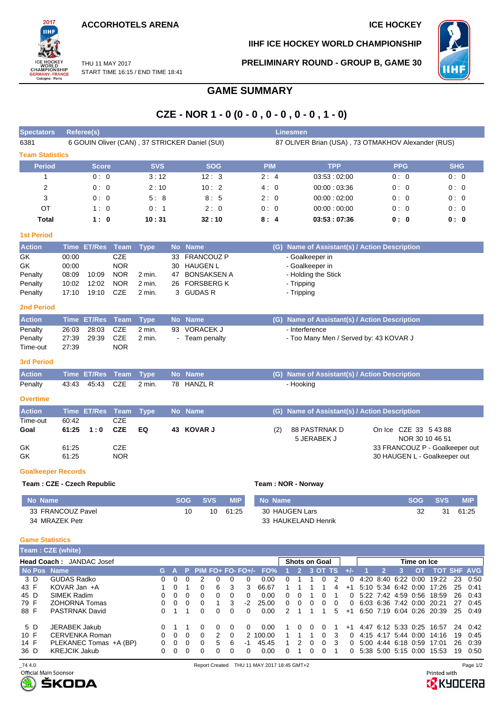**ACCORHOTELS ARENA ICE HOCKEY** 

START TIME 16:15 / END TIME 18:41

THU 11 MAY 2017



**IIHF ICE HOCKEY WORLD CHAMPIONSHIP**

**PRELIMINARY ROUND - GROUP B, GAME 30**



# **GAME SUMMARY**

## **CZE - NOR 1 - 0 (0 - 0 , 0 - 0 , 0 - 0 , 1 - 0)**

| <b>Spectators</b>          |                | <b>Referee(s)</b> |                          |                  |         |                                                |                                   |     | <b>Linesmen</b>                                    |                                                   |            |  |  |  |  |  |  |  |
|----------------------------|----------------|-------------------|--------------------------|------------------|---------|------------------------------------------------|-----------------------------------|-----|----------------------------------------------------|---------------------------------------------------|------------|--|--|--|--|--|--|--|
| 6381                       |                |                   |                          |                  |         | 6 GOUIN Oliver (CAN), 37 STRICKER Daniel (SUI) |                                   |     | 87 OLIVER Brian (USA), 73 OTMAKHOV Alexander (RUS) |                                                   |            |  |  |  |  |  |  |  |
| <b>Team Statistics</b>     |                |                   |                          |                  |         |                                                |                                   |     |                                                    |                                                   |            |  |  |  |  |  |  |  |
| <b>Period</b>              |                | <b>Score</b>      |                          | <b>SVS</b>       |         | <b>SOG</b>                                     | <b>PIM</b>                        |     | <b>TPP</b>                                         | <b>PPG</b>                                        | <b>SHG</b> |  |  |  |  |  |  |  |
| $\mathbf{1}$               |                | 0:0               |                          | 3:12             |         | 12:3                                           | 2:4                               |     | 03:53:02:00                                        | 0:0                                               | 0:0        |  |  |  |  |  |  |  |
| $\overline{2}$             |                | 0:0               |                          | 2:10             |         | 10:2                                           | 4:0                               |     | 00:00:03:36                                        | 0:0                                               | 0:0        |  |  |  |  |  |  |  |
| 3                          |                | 0:0               |                          | 5:8              |         | 8:5                                            | 2:0                               |     | 00:00:02:00                                        | 0:0                                               | 0:0        |  |  |  |  |  |  |  |
| ОT                         |                | 1:0               |                          | 0:1              |         | 2:0                                            | 0:0                               |     | 00:00:00:00                                        | 0:0                                               | 0:0        |  |  |  |  |  |  |  |
| <b>Total</b>               |                | 1:0               |                          | 10:31            |         | 32:10                                          | 8:4                               |     | 03:53:07:36                                        | 0: 0                                              |            |  |  |  |  |  |  |  |
| <b>1st Period</b>          |                |                   |                          |                  |         |                                                |                                   |     |                                                    |                                                   |            |  |  |  |  |  |  |  |
| <b>Action</b>              |                | Time ET/Res Team  |                          | <b>Type</b>      |         | No Name                                        |                                   |     | (G) Name of Assistant(s) / Action Description      |                                                   |            |  |  |  |  |  |  |  |
| GK                         | 00:00          |                   | CZE                      |                  | 33      | <b>FRANCOUZ P</b>                              |                                   |     | - Goalkeeper in                                    |                                                   |            |  |  |  |  |  |  |  |
| <b>GK</b>                  | 00:00          |                   | <b>NOR</b>               |                  | 30      | <b>HAUGEN L</b>                                | - Goalkeeper in                   |     |                                                    |                                                   |            |  |  |  |  |  |  |  |
| Penalty                    | 08:09<br>10:02 | 10:09<br>12:02    | <b>NOR</b><br><b>NOR</b> | 2 min.<br>2 min. | 47      | <b>BONSAKSEN A</b><br><b>FORSBERG K</b>        | - Holding the Stick<br>- Tripping |     |                                                    |                                                   |            |  |  |  |  |  |  |  |
| Penalty<br>Penalty         | 17:10          | 19:10             | CZE                      | 2 min.           | 26<br>3 | <b>GUDAS R</b>                                 | - Tripping                        |     |                                                    |                                                   |            |  |  |  |  |  |  |  |
|                            |                |                   |                          |                  |         |                                                |                                   |     |                                                    |                                                   |            |  |  |  |  |  |  |  |
| <b>2nd Period</b>          |                |                   |                          |                  |         |                                                |                                   |     |                                                    |                                                   |            |  |  |  |  |  |  |  |
| <b>Action</b>              | <b>Time</b>    | <b>ET/Res</b>     | <b>Team</b>              | <b>Type</b>      |         | No Name                                        |                                   | (G) | Name of Assistant(s) / Action Description          |                                                   |            |  |  |  |  |  |  |  |
| Penalty                    | 26:03          | 28:03             | CZE                      | 2 min.           | 93      | <b>VORACEK J</b>                               |                                   |     | - Interference                                     |                                                   |            |  |  |  |  |  |  |  |
| Penalty<br>Time-out        | 27:39<br>27:39 | 29:39             | <b>CZE</b><br><b>NOR</b> | 2 min.           |         | - Team penalty                                 |                                   |     | - Too Many Men / Served by: 43 KOVAR J             |                                                   |            |  |  |  |  |  |  |  |
|                            |                |                   |                          |                  |         |                                                |                                   |     |                                                    |                                                   |            |  |  |  |  |  |  |  |
| <b>3rd Period</b>          |                |                   |                          |                  |         |                                                |                                   |     |                                                    |                                                   |            |  |  |  |  |  |  |  |
| <b>Action</b>              | <b>Time</b>    | <b>ET/Res</b>     | <b>Team</b>              | <b>Type</b>      |         | No Name                                        |                                   | (G) | Name of Assistant(s) / Action Description          |                                                   |            |  |  |  |  |  |  |  |
| Penalty                    | 43:43          | 45:43             | <b>CZE</b>               | 2 min.           | 78      | <b>HANZL R</b>                                 |                                   |     | - Hooking                                          |                                                   |            |  |  |  |  |  |  |  |
| <b>Overtime</b>            |                |                   |                          |                  |         |                                                |                                   |     |                                                    |                                                   |            |  |  |  |  |  |  |  |
| <b>Action</b>              |                | Time ET/Res       | Team                     | <b>Type</b>      |         | No Name                                        |                                   | (G) | Name of Assistant(s) / Action Description          |                                                   |            |  |  |  |  |  |  |  |
| Time-out                   | 60:42          |                   | <b>CZE</b>               |                  |         |                                                |                                   |     |                                                    |                                                   |            |  |  |  |  |  |  |  |
| Goal                       | 61:25          | 1:0               | <b>CZE</b>               | EQ               | 43      | <b>KOVAR J</b>                                 |                                   | (2) | 88 PASTRNAK D                                      | On Ice CZE 33 5 43 88                             |            |  |  |  |  |  |  |  |
| GK                         | 61:25          |                   | <b>CZE</b>               |                  |         |                                                |                                   |     | 5 JERABEK J                                        | NOR 30 10 46 51<br>33 FRANCOUZ P - Goalkeeper out |            |  |  |  |  |  |  |  |
| GK                         | 61.25          |                   | <b>NOR</b>               |                  |         |                                                |                                   |     |                                                    | 30 HAUGEN L - Goalkeeper out                      |            |  |  |  |  |  |  |  |
| <b>Goalkeeper Records</b>  |                |                   |                          |                  |         |                                                |                                   |     |                                                    |                                                   |            |  |  |  |  |  |  |  |
| Team: CZE - Czech Republic |                |                   |                          |                  |         |                                                |                                   |     | Team: NOR - Norway                                 |                                                   |            |  |  |  |  |  |  |  |
|                            |                |                   |                          |                  |         |                                                |                                   |     |                                                    |                                                   |            |  |  |  |  |  |  |  |

### **No Name SOG SVS MIP** 33 FRANCOUZ Pavel 34 MRAZEK Petr 10 10 61:25 **No Name SOG SVS MIP** 30 HAUGEN Lars 33 HAUKELAND Henrik 32 31 61:25

### **Game Statistics**

|             | <b>Feam:CZE (white)</b>         |    |          |          |          |    |          |    |                                |   |   |          |              |                      |      |                     |  |                     |                     |                           |    |                    |
|-------------|---------------------------------|----|----------|----------|----------|----|----------|----|--------------------------------|---|---|----------|--------------|----------------------|------|---------------------|--|---------------------|---------------------|---------------------------|----|--------------------|
|             | <b>Head Coach: JANDAC Josef</b> |    |          |          |          |    |          |    |                                |   |   |          |              | <b>Shots on Goal</b> |      | Time on Ice         |  |                     |                     |                           |    |                    |
| No Pos Name |                                 | G. |          | -92      |          |    |          |    | PIM FO+ FO- FO+ $\prime$ - FO% |   |   |          | 3 OT TS      |                      | - Jo |                     |  |                     | OT.                 |                           |    | <b>TOT SHF AVG</b> |
| 3 D         | <b>GUDAS Radko</b>              | 0  |          |          |          |    |          |    | 0.00                           |   |   |          | $\mathbf{U}$ |                      | 0    |                     |  |                     | 4:20 8:40 6:22 0:00 | 19:22                     | 23 | 0:50               |
| 43 F        | KOVAR Jan +A                    |    |          |          |          | 6  | 3        | 3  | 66.67                          |   |   |          |              | 4                    | $+1$ |                     |  |                     | 5:10 5:34 6:42 0:00 | 17:26                     | 25 | 0:41               |
| 45 D        | SIMEK Radim                     | 0  | $\Omega$ | $\Omega$ | $\Omega$ | 0  | $\Omega$ | 0  | 0.00                           | 0 | 0 |          | $\Omega$     |                      | 0    |                     |  |                     | 5:22 7:42 4:59 0:56 | 18:59                     | 26 | 0.43               |
| 79 F        | <b>ZOHORNA Tomas</b>            | 0  |          |          | 0        |    |          | -2 | 25.00                          | 0 | 0 | $\Omega$ | $\Omega$     | 0                    | 0    |                     |  |                     |                     | 6:03 6:36 7:42 0:00 20:21 | 27 | 0:45               |
| 88 F        | <b>PASTRNAK David</b>           | 0  |          |          | 0        | 0  | 0        | 0  | 0.00                           | 2 |   |          |              | 5.                   | $+1$ |                     |  |                     |                     | 6.50 7:19 6:04 0:26 20:39 | 25 | 0:49               |
| 5 D         | JERABEK Jakub                   |    |          |          |          | 0  |          |    | 0.00                           |   |   |          |              |                      | $+1$ |                     |  |                     | 4:47 6:12 5:33 0:25 | 16:57                     | 24 | 0:42               |
| 10 F        | CERVENKA Roman                  | 0  | $\Omega$ | $\Omega$ | 0        |    |          |    | 2 100.00                       |   |   |          | $\Omega$     | 3                    | 0    | 4:15 4:17 5:44 0:00 |  |                     |                     | 14:16                     | 19 | 0:45               |
| 14 F        | PLEKANEC Tomas +A (BP)          | 0  |          |          | 0        | 5. | 6        | -1 | 45.45                          |   | 2 |          | $\Omega$     | 3                    | 0    |                     |  | 5:00 4:44 6:18 0:59 |                     | 17:01                     | 26 | 0:39               |
| 36 D        | <b>KREJCIK Jakub</b>            | 0  |          |          | O        | O  | $\Omega$ | O. | 0.00                           | ∩ |   |          |              |                      | 0    | 5:38 5:00 5:15 0:00 |  |                     |                     | 15:53                     | 19 | 0:50               |